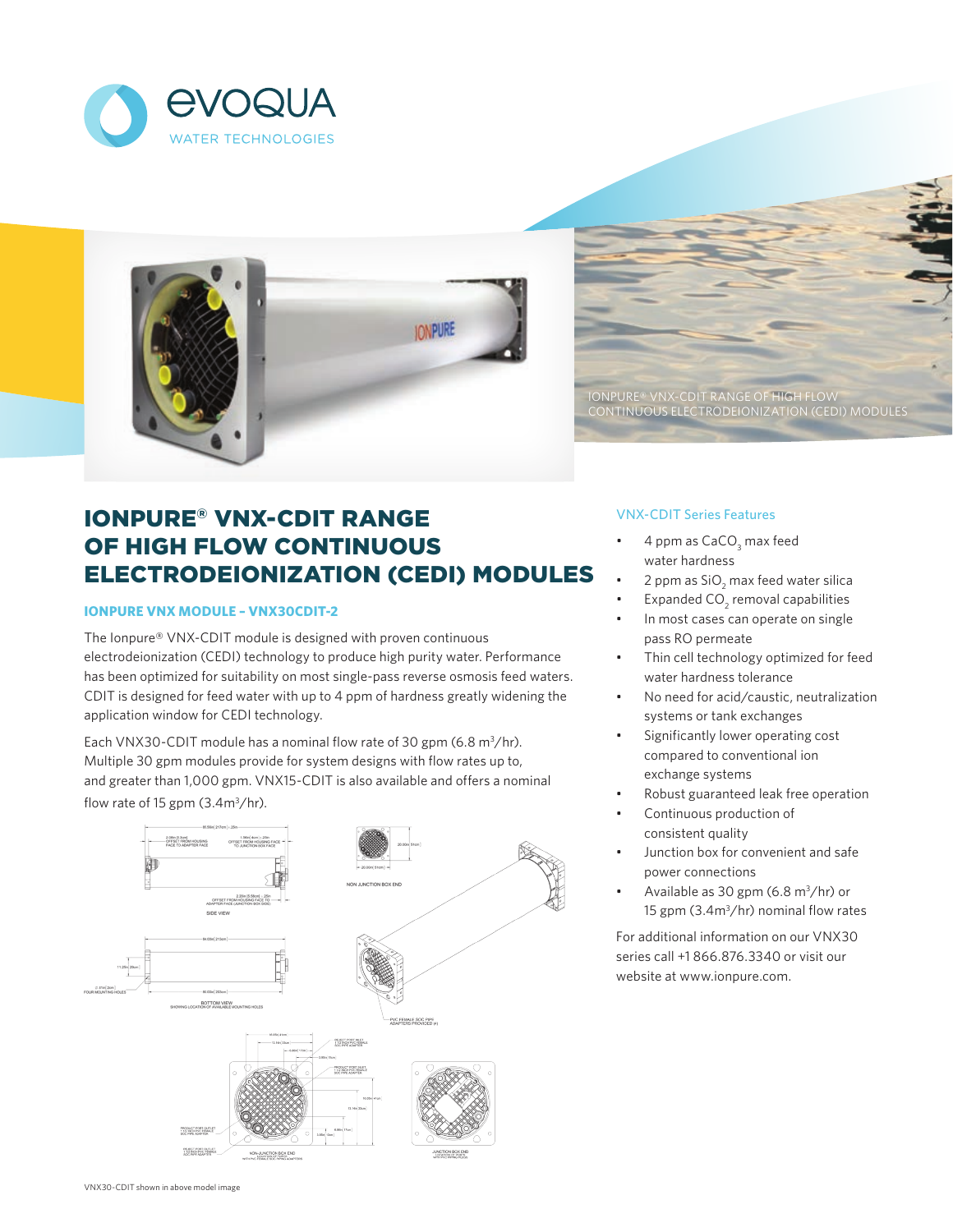



IONPURE® VNX-CDIT RANGE OF HIGH FLOW CONTINUOUS ELECTRODEIONIZATION (CEDI) MODULES

# IONPURE® VNX-CDIT RANGE OF HIGH FLOW CONTINUOUS ELECTRODEIONIZATION (CEDI) MODULES

## **IONPURE VNX MODULE – VNX30CDIT-2**

The Ionpure® VNX-CDIT module is designed with proven continuous electrodeionization (CEDI) technology to produce high purity water. Performance has been optimized for suitability on most single-pass reverse osmosis feed waters. CDIT is designed for feed water with up to 4 ppm of hardness greatly widening the application window for CEDI technology.

Each VNX30-CDIT module has a nominal flow rate of 30 gpm  $(6.8 \text{ m}^3/\text{hr})$ . Multiple 30 gpm modules provide for system designs with flow rates up to, and greater than 1,000 gpm. VNX15-CDIT is also available and offers a nominal flow rate of 15 gpm  $(3.4m<sup>3</sup>/hr)$ .



## VNX-CDIT Series Features

- $\bullet$  4 ppm as CaCO<sub>3</sub> max feed water hardness
- 2 ppm as  $\text{SiO}_2$  max feed water silica
- Expanded  $CO_2$  removal capabilities
- In most cases can operate on single pass RO permeate
- Thin cell technology optimized for feed water hardness tolerance
- No need for acid/caustic, neutralization systems or tank exchanges
- Significantly lower operating cost compared to conventional ion exchange systems
- Robust guaranteed leak free operation
- Continuous production of consistent quality
- Junction box for convenient and safe power connections
- Available as 30 gpm  $(6.8 \text{ m}^3/\text{hr})$  or 15 gpm (3.4m<sup>3</sup>/hr) nominal flow rates

For additional information on our VNX30 series call +1 866.876.3340 or visit our website at www.ionpure.com.